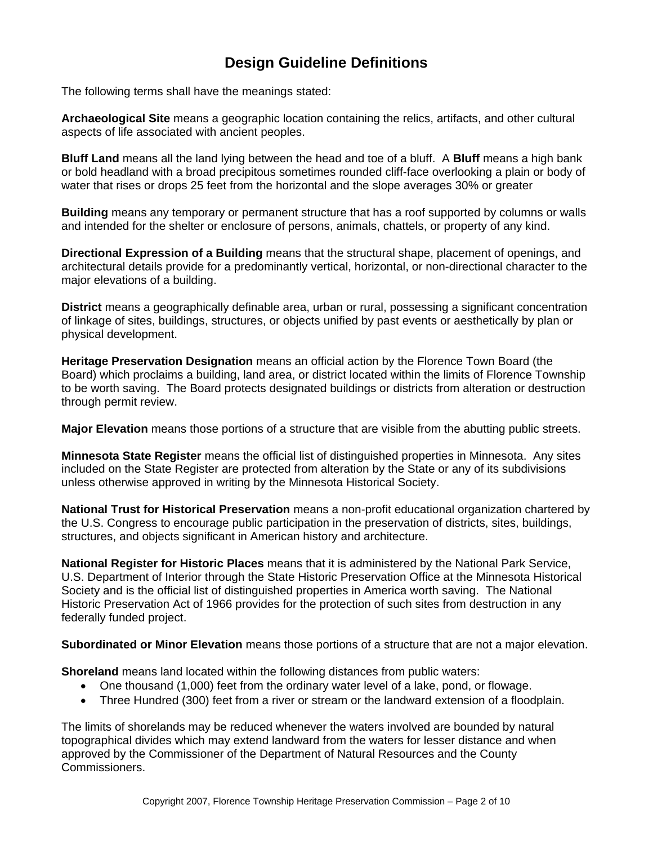## **Design Guideline Definitions**

The following terms shall have the meanings stated:

**Archaeological Site** means a geographic location containing the relics, artifacts, and other cultural aspects of life associated with ancient peoples.

**Bluff Land** means all the land lying between the head and toe of a bluff. A **Bluff** means a high bank or bold headland with a broad precipitous sometimes rounded cliff-face overlooking a plain or body of water that rises or drops 25 feet from the horizontal and the slope averages 30% or greater

**Building** means any temporary or permanent structure that has a roof supported by columns or walls and intended for the shelter or enclosure of persons, animals, chattels, or property of any kind.

**Directional Expression of a Building** means that the structural shape, placement of openings, and architectural details provide for a predominantly vertical, horizontal, or non-directional character to the major elevations of a building.

**District** means a geographically definable area, urban or rural, possessing a significant concentration of linkage of sites, buildings, structures, or objects unified by past events or aesthetically by plan or physical development.

**Heritage Preservation Designation** means an official action by the Florence Town Board (the Board) which proclaims a building, land area, or district located within the limits of Florence Township to be worth saving. The Board protects designated buildings or districts from alteration or destruction through permit review.

**Major Elevation** means those portions of a structure that are visible from the abutting public streets.

**Minnesota State Register** means the official list of distinguished properties in Minnesota. Any sites included on the State Register are protected from alteration by the State or any of its subdivisions unless otherwise approved in writing by the Minnesota Historical Society.

**National Trust for Historical Preservation** means a non-profit educational organization chartered by the U.S. Congress to encourage public participation in the preservation of districts, sites, buildings, structures, and objects significant in American history and architecture.

**National Register for Historic Places** means that it is administered by the National Park Service, U.S. Department of Interior through the State Historic Preservation Office at the Minnesota Historical Society and is the official list of distinguished properties in America worth saving. The National Historic Preservation Act of 1966 provides for the protection of such sites from destruction in any federally funded project.

**Subordinated or Minor Elevation** means those portions of a structure that are not a major elevation.

**Shoreland** means land located within the following distances from public waters:

- One thousand (1,000) feet from the ordinary water level of a lake, pond, or flowage.
- Three Hundred (300) feet from a river or stream or the landward extension of a floodplain.

The limits of shorelands may be reduced whenever the waters involved are bounded by natural topographical divides which may extend landward from the waters for lesser distance and when approved by the Commissioner of the Department of Natural Resources and the County Commissioners.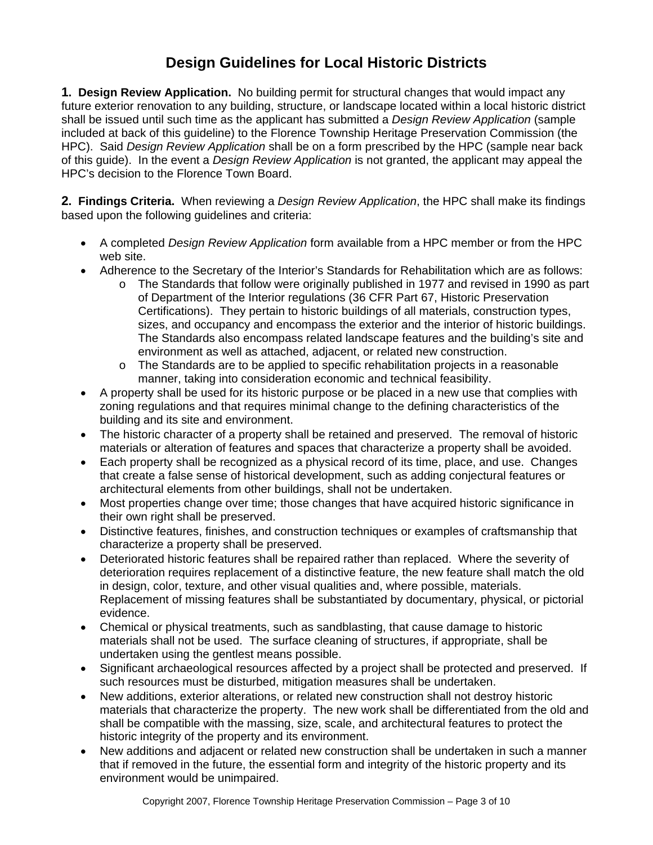## **Design Guidelines for Local Historic Districts**

**1. Design Review Application.** No building permit for structural changes that would impact any future exterior renovation to any building, structure, or landscape located within a local historic district shall be issued until such time as the applicant has submitted a *Design Review Application* (sample included at back of this guideline) to the Florence Township Heritage Preservation Commission (the HPC). Said *Design Review Application* shall be on a form prescribed by the HPC (sample near back of this guide). In the event a *Design Review Application* is not granted, the applicant may appeal the HPC's decision to the Florence Town Board.

**2. Findings Criteria.** When reviewing a *Design Review Application*, the HPC shall make its findings based upon the following guidelines and criteria:

- A completed *Design Review Application* form available from a HPC member or from the HPC web site.
- Adherence to the Secretary of the Interior's Standards for Rehabilitation which are as follows:
	- o The Standards that follow were originally published in 1977 and revised in 1990 as part of Department of the Interior regulations (36 CFR Part 67, Historic Preservation Certifications). They pertain to historic buildings of all materials, construction types, sizes, and occupancy and encompass the exterior and the interior of historic buildings. The Standards also encompass related landscape features and the building's site and environment as well as attached, adjacent, or related new construction.
	- o The Standards are to be applied to specific rehabilitation projects in a reasonable manner, taking into consideration economic and technical feasibility.
- A property shall be used for its historic purpose or be placed in a new use that complies with zoning regulations and that requires minimal change to the defining characteristics of the building and its site and environment.
- The historic character of a property shall be retained and preserved. The removal of historic materials or alteration of features and spaces that characterize a property shall be avoided.
- Each property shall be recognized as a physical record of its time, place, and use. Changes that create a false sense of historical development, such as adding conjectural features or architectural elements from other buildings, shall not be undertaken.
- Most properties change over time; those changes that have acquired historic significance in their own right shall be preserved.
- Distinctive features, finishes, and construction techniques or examples of craftsmanship that characterize a property shall be preserved.
- Deteriorated historic features shall be repaired rather than replaced. Where the severity of deterioration requires replacement of a distinctive feature, the new feature shall match the old in design, color, texture, and other visual qualities and, where possible, materials. Replacement of missing features shall be substantiated by documentary, physical, or pictorial evidence.
- Chemical or physical treatments, such as sandblasting, that cause damage to historic materials shall not be used. The surface cleaning of structures, if appropriate, shall be undertaken using the gentlest means possible.
- Significant archaeological resources affected by a project shall be protected and preserved. If such resources must be disturbed, mitigation measures shall be undertaken.
- New additions, exterior alterations, or related new construction shall not destroy historic materials that characterize the property. The new work shall be differentiated from the old and shall be compatible with the massing, size, scale, and architectural features to protect the historic integrity of the property and its environment.
- New additions and adjacent or related new construction shall be undertaken in such a manner that if removed in the future, the essential form and integrity of the historic property and its environment would be unimpaired.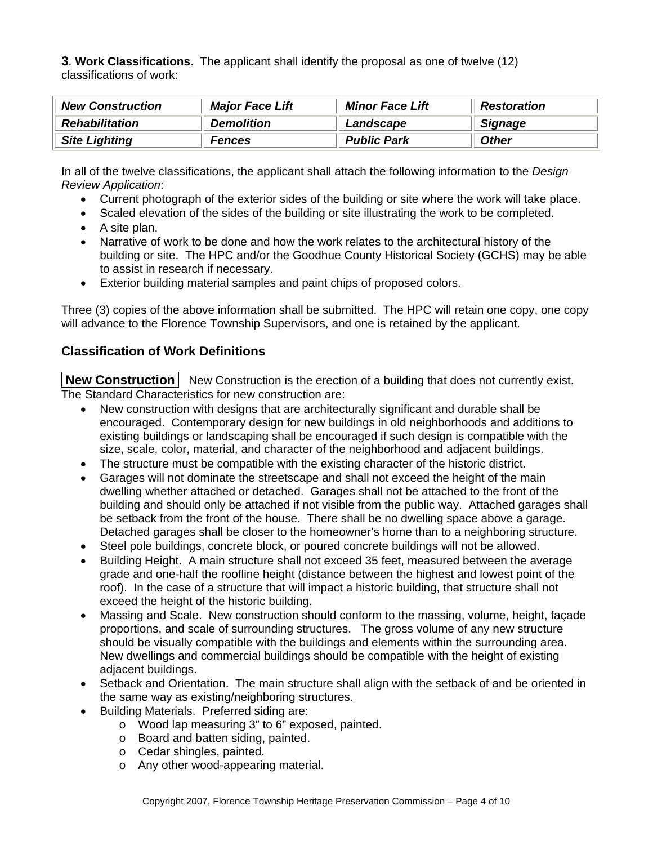**3**. **Work Classifications**. The applicant shall identify the proposal as one of twelve (12) classifications of work:

| <b>New Construction</b> | <b>Major Face Lift</b> | <b>Minor Face Lift</b> | <b>Restoration</b> |
|-------------------------|------------------------|------------------------|--------------------|
| <b>Rehabilitation</b>   | <b>Demolition</b>      | Landscape              | <b>Signage</b>     |
| <b>Site Lighting</b>    | <b>Fences</b>          | <b>Public Park</b>     | <b>Other</b>       |

In all of the twelve classifications, the applicant shall attach the following information to the *Design Review Application*:

- Current photograph of the exterior sides of the building or site where the work will take place.
- Scaled elevation of the sides of the building or site illustrating the work to be completed.
- A site plan.
- Narrative of work to be done and how the work relates to the architectural history of the building or site. The HPC and/or the Goodhue County Historical Society (GCHS) may be able to assist in research if necessary.
- Exterior building material samples and paint chips of proposed colors.

Three (3) copies of the above information shall be submitted. The HPC will retain one copy, one copy will advance to the Florence Township Supervisors, and one is retained by the applicant.

## **Classification of Work Definitions**

**New Construction** | New Construction is the erection of a building that does not currently exist. The Standard Characteristics for new construction are:

- New construction with designs that are architecturally significant and durable shall be encouraged. Contemporary design for new buildings in old neighborhoods and additions to existing buildings or landscaping shall be encouraged if such design is compatible with the size, scale, color, material, and character of the neighborhood and adjacent buildings.
- The structure must be compatible with the existing character of the historic district.
- Garages will not dominate the streetscape and shall not exceed the height of the main dwelling whether attached or detached. Garages shall not be attached to the front of the building and should only be attached if not visible from the public way. Attached garages shall be setback from the front of the house. There shall be no dwelling space above a garage. Detached garages shall be closer to the homeowner's home than to a neighboring structure.
- Steel pole buildings, concrete block, or poured concrete buildings will not be allowed.
- Building Height. A main structure shall not exceed 35 feet, measured between the average grade and one-half the roofline height (distance between the highest and lowest point of the roof). In the case of a structure that will impact a historic building, that structure shall not exceed the height of the historic building.
- Massing and Scale. New construction should conform to the massing, volume, height, façade proportions, and scale of surrounding structures. The gross volume of any new structure should be visually compatible with the buildings and elements within the surrounding area. New dwellings and commercial buildings should be compatible with the height of existing adjacent buildings.
- Setback and Orientation. The main structure shall align with the setback of and be oriented in the same way as existing/neighboring structures.
- Building Materials. Preferred siding are:
	- o Wood lap measuring 3" to 6" exposed, painted.
	- o Board and batten siding, painted.
	- o Cedar shingles, painted.
	- o Any other wood-appearing material.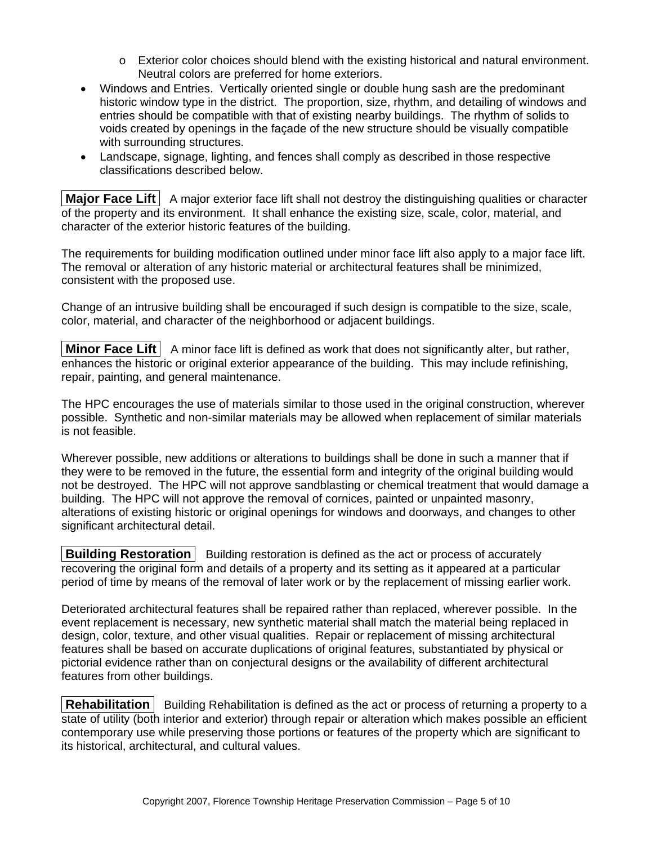- o Exterior color choices should blend with the existing historical and natural environment. Neutral colors are preferred for home exteriors.
- Windows and Entries. Vertically oriented single or double hung sash are the predominant historic window type in the district. The proportion, size, rhythm, and detailing of windows and entries should be compatible with that of existing nearby buildings. The rhythm of solids to voids created by openings in the façade of the new structure should be visually compatible with surrounding structures.
- Landscape, signage, lighting, and fences shall comply as described in those respective classifications described below.

**Major Face Lift** | A major exterior face lift shall not destroy the distinguishing qualities or character of the property and its environment. It shall enhance the existing size, scale, color, material, and character of the exterior historic features of the building.

The requirements for building modification outlined under minor face lift also apply to a major face lift. The removal or alteration of any historic material or architectural features shall be minimized, consistent with the proposed use.

Change of an intrusive building shall be encouraged if such design is compatible to the size, scale, color, material, and character of the neighborhood or adjacent buildings.

**Minor Face Lift** | A minor face lift is defined as work that does not significantly alter, but rather, enhances the historic or original exterior appearance of the building. This may include refinishing, repair, painting, and general maintenance.

The HPC encourages the use of materials similar to those used in the original construction, wherever possible. Synthetic and non-similar materials may be allowed when replacement of similar materials is not feasible.

Wherever possible, new additions or alterations to buildings shall be done in such a manner that if they were to be removed in the future, the essential form and integrity of the original building would not be destroyed. The HPC will not approve sandblasting or chemical treatment that would damage a building. The HPC will not approve the removal of cornices, painted or unpainted masonry, alterations of existing historic or original openings for windows and doorways, and changes to other significant architectural detail.

**Building Restoration** | Building restoration is defined as the act or process of accurately recovering the original form and details of a property and its setting as it appeared at a particular period of time by means of the removal of later work or by the replacement of missing earlier work.

Deteriorated architectural features shall be repaired rather than replaced, wherever possible. In the event replacement is necessary, new synthetic material shall match the material being replaced in design, color, texture, and other visual qualities. Repair or replacement of missing architectural features shall be based on accurate duplications of original features, substantiated by physical or pictorial evidence rather than on conjectural designs or the availability of different architectural features from other buildings.

**Rehabilitation** | Building Rehabilitation is defined as the act or process of returning a property to a state of utility (both interior and exterior) through repair or alteration which makes possible an efficient contemporary use while preserving those portions or features of the property which are significant to its historical, architectural, and cultural values.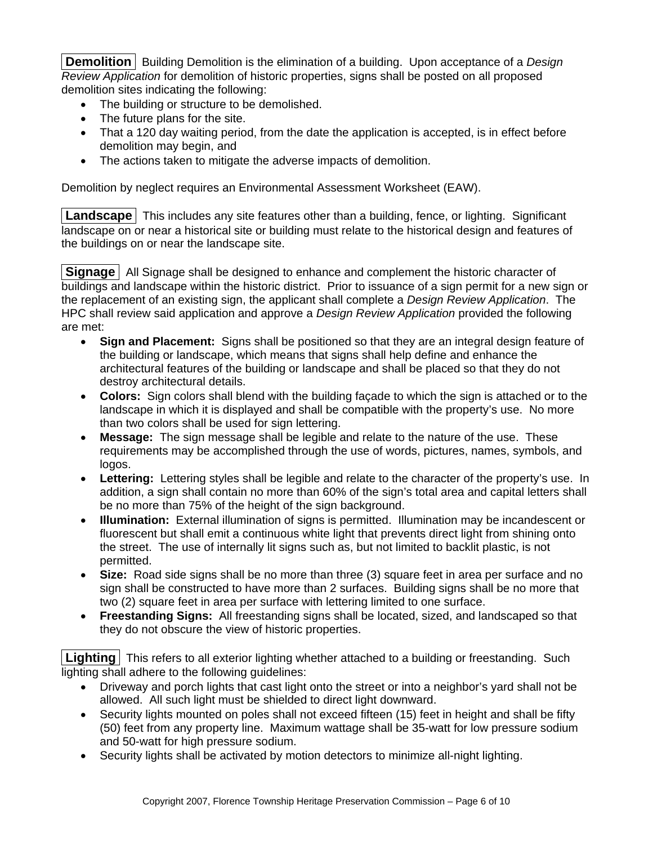**Demolition** Building Demolition is the elimination of a building. Upon acceptance of a *Design Review Application* for demolition of historic properties, signs shall be posted on all proposed demolition sites indicating the following:

- The building or structure to be demolished.
- The future plans for the site.
- That a 120 day waiting period, from the date the application is accepted, is in effect before demolition may begin, and
- The actions taken to mitigate the adverse impacts of demolition.

Demolition by neglect requires an Environmental Assessment Worksheet (EAW).

**Landscape** This includes any site features other than a building, fence, or lighting. Significant landscape on or near a historical site or building must relate to the historical design and features of the buildings on or near the landscape site.

**Signage** All Signage shall be designed to enhance and complement the historic character of buildings and landscape within the historic district. Prior to issuance of a sign permit for a new sign or the replacement of an existing sign, the applicant shall complete a *Design Review Application*. The HPC shall review said application and approve a *Design Review Application* provided the following are met:

- **Sign and Placement:** Signs shall be positioned so that they are an integral design feature of the building or landscape, which means that signs shall help define and enhance the architectural features of the building or landscape and shall be placed so that they do not destroy architectural details.
- **Colors:** Sign colors shall blend with the building façade to which the sign is attached or to the landscape in which it is displayed and shall be compatible with the property's use. No more than two colors shall be used for sign lettering.
- **Message:** The sign message shall be legible and relate to the nature of the use. These requirements may be accomplished through the use of words, pictures, names, symbols, and logos.
- **Lettering:** Lettering styles shall be legible and relate to the character of the property's use. In addition, a sign shall contain no more than 60% of the sign's total area and capital letters shall be no more than 75% of the height of the sign background.
- **Illumination:** External illumination of signs is permitted. Illumination may be incandescent or fluorescent but shall emit a continuous white light that prevents direct light from shining onto the street. The use of internally lit signs such as, but not limited to backlit plastic, is not permitted.
- **Size:** Road side signs shall be no more than three (3) square feet in area per surface and no sign shall be constructed to have more than 2 surfaces. Building signs shall be no more that two (2) square feet in area per surface with lettering limited to one surface.
- **Freestanding Signs:** All freestanding signs shall be located, sized, and landscaped so that they do not obscure the view of historic properties.

**Lighting** This refers to all exterior lighting whether attached to a building or freestanding. Such lighting shall adhere to the following guidelines:

- Driveway and porch lights that cast light onto the street or into a neighbor's yard shall not be allowed. All such light must be shielded to direct light downward.
- Security lights mounted on poles shall not exceed fifteen (15) feet in height and shall be fifty (50) feet from any property line. Maximum wattage shall be 35-watt for low pressure sodium and 50-watt for high pressure sodium.
- Security lights shall be activated by motion detectors to minimize all-night lighting.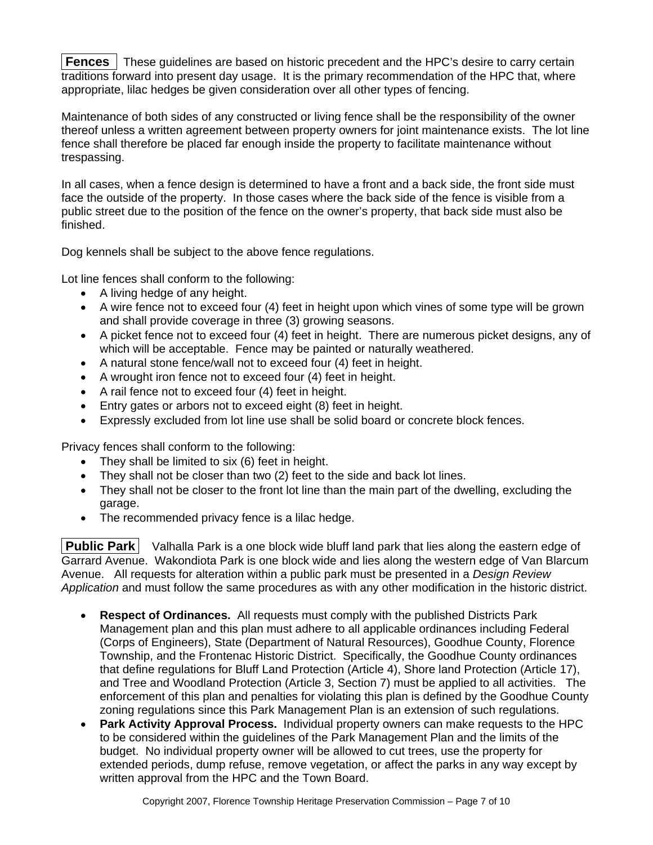**Fences** These guidelines are based on historic precedent and the HPC's desire to carry certain traditions forward into present day usage. It is the primary recommendation of the HPC that, where appropriate, lilac hedges be given consideration over all other types of fencing.

Maintenance of both sides of any constructed or living fence shall be the responsibility of the owner thereof unless a written agreement between property owners for joint maintenance exists. The lot line fence shall therefore be placed far enough inside the property to facilitate maintenance without trespassing.

In all cases, when a fence design is determined to have a front and a back side, the front side must face the outside of the property. In those cases where the back side of the fence is visible from a public street due to the position of the fence on the owner's property, that back side must also be finished.

Dog kennels shall be subject to the above fence regulations.

Lot line fences shall conform to the following:

- A living hedge of any height.
- A wire fence not to exceed four (4) feet in height upon which vines of some type will be grown and shall provide coverage in three (3) growing seasons.
- A picket fence not to exceed four (4) feet in height. There are numerous picket designs, any of which will be acceptable. Fence may be painted or naturally weathered.
- A natural stone fence/wall not to exceed four (4) feet in height.
- A wrought iron fence not to exceed four (4) feet in height.
- A rail fence not to exceed four (4) feet in height.
- Entry gates or arbors not to exceed eight (8) feet in height.
- Expressly excluded from lot line use shall be solid board or concrete block fences.

Privacy fences shall conform to the following:

- They shall be limited to six (6) feet in height.
- They shall not be closer than two (2) feet to the side and back lot lines.
- They shall not be closer to the front lot line than the main part of the dwelling, excluding the garage.
- The recommended privacy fence is a lilac hedge.

**Public Park** Valhalla Park is a one block wide bluff land park that lies along the eastern edge of Garrard Avenue. Wakondiota Park is one block wide and lies along the western edge of Van Blarcum Avenue. All requests for alteration within a public park must be presented in a *Design Review Application* and must follow the same procedures as with any other modification in the historic district.

- **Respect of Ordinances.** All requests must comply with the published Districts Park Management plan and this plan must adhere to all applicable ordinances including Federal (Corps of Engineers), State (Department of Natural Resources), Goodhue County, Florence Township, and the Frontenac Historic District. Specifically, the Goodhue County ordinances that define regulations for Bluff Land Protection (Article 4), Shore land Protection (Article 17), and Tree and Woodland Protection (Article 3, Section 7) must be applied to all activities. The enforcement of this plan and penalties for violating this plan is defined by the Goodhue County zoning regulations since this Park Management Plan is an extension of such regulations.
- **Park Activity Approval Process.** Individual property owners can make requests to the HPC to be considered within the guidelines of the Park Management Plan and the limits of the budget. No individual property owner will be allowed to cut trees, use the property for extended periods, dump refuse, remove vegetation, or affect the parks in any way except by written approval from the HPC and the Town Board.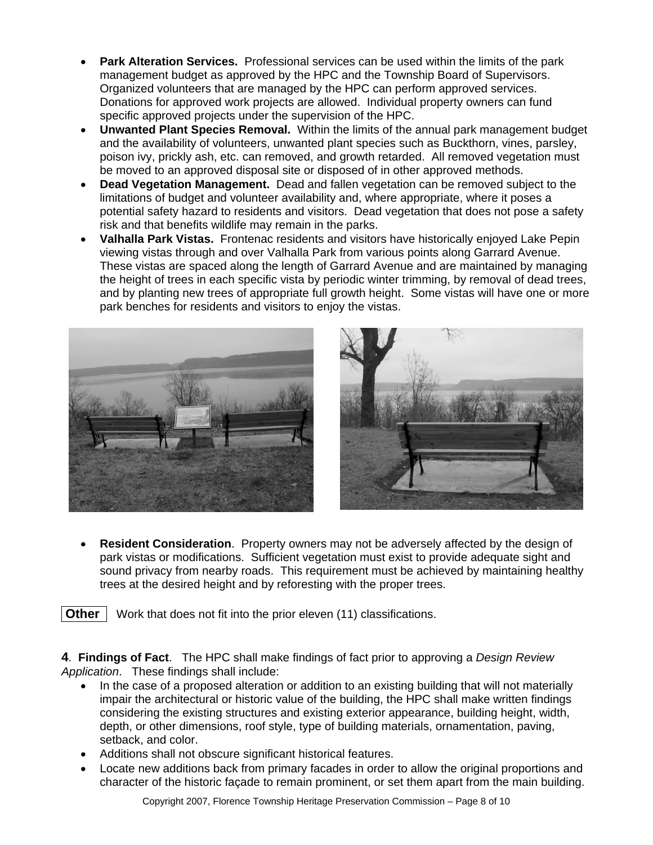- **Park Alteration Services.** Professional services can be used within the limits of the park management budget as approved by the HPC and the Township Board of Supervisors. Organized volunteers that are managed by the HPC can perform approved services. Donations for approved work projects are allowed. Individual property owners can fund specific approved projects under the supervision of the HPC.
- **Unwanted Plant Species Removal.** Within the limits of the annual park management budget and the availability of volunteers, unwanted plant species such as Buckthorn, vines, parsley, poison ivy, prickly ash, etc. can removed, and growth retarded. All removed vegetation must be moved to an approved disposal site or disposed of in other approved methods.
- **Dead Vegetation Management.** Dead and fallen vegetation can be removed subject to the limitations of budget and volunteer availability and, where appropriate, where it poses a potential safety hazard to residents and visitors. Dead vegetation that does not pose a safety risk and that benefits wildlife may remain in the parks.
- **Valhalla Park Vistas.** Frontenac residents and visitors have historically enjoyed Lake Pepin viewing vistas through and over Valhalla Park from various points along Garrard Avenue. These vistas are spaced along the length of Garrard Avenue and are maintained by managing the height of trees in each specific vista by periodic winter trimming, by removal of dead trees, and by planting new trees of appropriate full growth height. Some vistas will have one or more park benches for residents and visitors to enjoy the vistas.





• **Resident Consideration**. Property owners may not be adversely affected by the design of park vistas or modifications. Sufficient vegetation must exist to provide adequate sight and sound privacy from nearby roads. This requirement must be achieved by maintaining healthy trees at the desired height and by reforesting with the proper trees.

**Other** Work that does not fit into the prior eleven (11) classifications.

**4**. **Findings of Fact**. The HPC shall make findings of fact prior to approving a *Design Review Application*. These findings shall include:

- In the case of a proposed alteration or addition to an existing building that will not materially impair the architectural or historic value of the building, the HPC shall make written findings considering the existing structures and existing exterior appearance, building height, width, depth, or other dimensions, roof style, type of building materials, ornamentation, paving, setback, and color.
- Additions shall not obscure significant historical features.
- Locate new additions back from primary facades in order to allow the original proportions and character of the historic façade to remain prominent, or set them apart from the main building.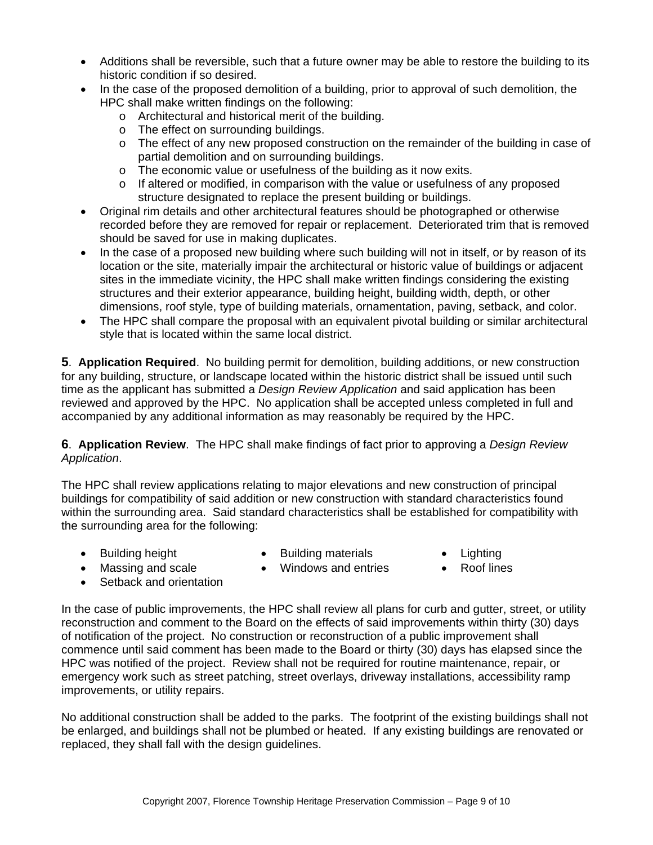- Additions shall be reversible, such that a future owner may be able to restore the building to its historic condition if so desired.
- In the case of the proposed demolition of a building, prior to approval of such demolition, the HPC shall make written findings on the following:
	- o Architectural and historical merit of the building.
	- o The effect on surrounding buildings.
	- o The effect of any new proposed construction on the remainder of the building in case of partial demolition and on surrounding buildings.
	- o The economic value or usefulness of the building as it now exits.
	- $\circ$  If altered or modified, in comparison with the value or usefulness of any proposed structure designated to replace the present building or buildings.
- Original rim details and other architectural features should be photographed or otherwise recorded before they are removed for repair or replacement. Deteriorated trim that is removed should be saved for use in making duplicates.
- In the case of a proposed new building where such building will not in itself, or by reason of its location or the site, materially impair the architectural or historic value of buildings or adjacent sites in the immediate vicinity, the HPC shall make written findings considering the existing structures and their exterior appearance, building height, building width, depth, or other dimensions, roof style, type of building materials, ornamentation, paving, setback, and color.
- The HPC shall compare the proposal with an equivalent pivotal building or similar architectural style that is located within the same local district.

**5**. **Application Required**. No building permit for demolition, building additions, or new construction for any building, structure, or landscape located within the historic district shall be issued until such time as the applicant has submitted a *Design Review Application* and said application has been reviewed and approved by the HPC. No application shall be accepted unless completed in full and accompanied by any additional information as may reasonably be required by the HPC.

**6**. **Application Review**. The HPC shall make findings of fact prior to approving a *Design Review Application*.

The HPC shall review applications relating to major elevations and new construction of principal buildings for compatibility of said addition or new construction with standard characteristics found within the surrounding area. Said standard characteristics shall be established for compatibility with the surrounding area for the following:

- 
- Building height Building materials Lighting
	-
	-
- Setback and orientation
- Massing and scale Windows and entries Roof lines
	-

In the case of public improvements, the HPC shall review all plans for curb and gutter, street, or utility reconstruction and comment to the Board on the effects of said improvements within thirty (30) days of notification of the project. No construction or reconstruction of a public improvement shall commence until said comment has been made to the Board or thirty (30) days has elapsed since the HPC was notified of the project. Review shall not be required for routine maintenance, repair, or emergency work such as street patching, street overlays, driveway installations, accessibility ramp improvements, or utility repairs.

No additional construction shall be added to the parks. The footprint of the existing buildings shall not be enlarged, and buildings shall not be plumbed or heated. If any existing buildings are renovated or replaced, they shall fall with the design guidelines.